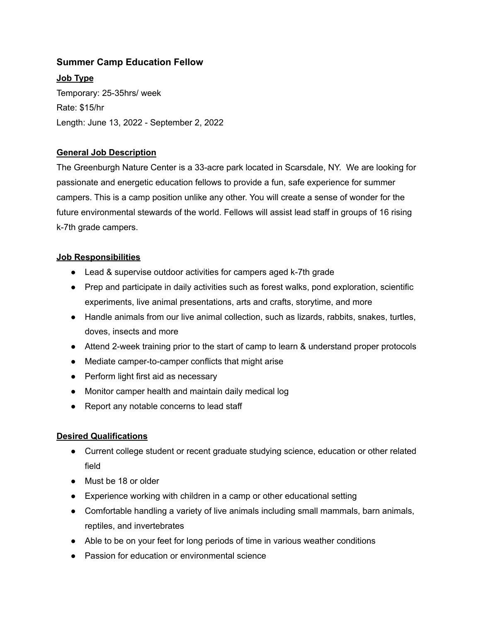# **Summer Camp Education Fellow**

**Job Type** Temporary: 25-35hrs/ week Rate: \$15/hr Length: June 13, 2022 - September 2, 2022

### **General Job Description**

The Greenburgh Nature Center is a 33-acre park located in Scarsdale, NY. We are looking for passionate and energetic education fellows to provide a fun, safe experience for summer campers. This is a camp position unlike any other. You will create a sense of wonder for the future environmental stewards of the world. Fellows will assist lead staff in groups of 16 rising k-7th grade campers.

#### **Job Responsibilities**

- Lead & supervise outdoor activities for campers aged k-7th grade
- Prep and participate in daily activities such as forest walks, pond exploration, scientific experiments, live animal presentations, arts and crafts, storytime, and more
- Handle animals from our live animal collection, such as lizards, rabbits, snakes, turtles, doves, insects and more
- Attend 2-week training prior to the start of camp to learn & understand proper protocols
- Mediate camper-to-camper conflicts that might arise
- Perform light first aid as necessary
- Monitor camper health and maintain daily medical log
- Report any notable concerns to lead staff

### **Desired Qualifications**

- Current college student or recent graduate studying science, education or other related field
- Must be 18 or older
- Experience working with children in a camp or other educational setting
- Comfortable handling a variety of live animals including small mammals, barn animals, reptiles, and invertebrates
- Able to be on your feet for long periods of time in various weather conditions
- Passion for education or environmental science